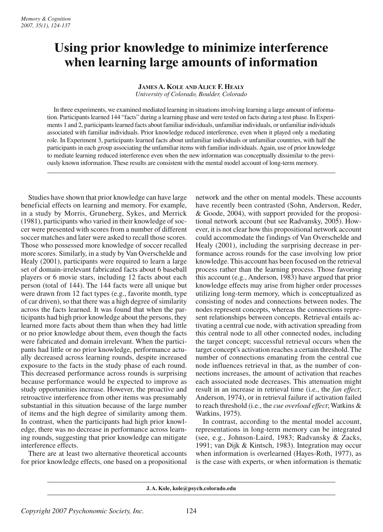# **Using prior knowledge to minimize interference when learning large amounts of information**

# **JAMES A. KOLE AND ALICE F. HEALY**

*University of Colorado, Boulder, Colorado*

In three experiments, we examined mediated learning in situations involving learning a large amount of information. Participants learned 144 "facts" during a learning phase and were tested on facts during a test phase. In Experiments 1 and 2, participants learned facts about familiar individuals, unfamiliar individuals, or unfamiliar individuals associated with familiar individuals. Prior knowledge reduced interference, even when it played only a mediating role. In Experiment 3, participants learned facts about unfamiliar individuals or unfamiliar countries, with half the participants in each group associating the unfamiliar items with familiar individuals. Again, use of prior knowledge to mediate learning reduced interference even when the new information was conceptually dissimilar to the previously known information. These results are consistent with the mental model account of long-term memory.

Studies have shown that prior knowledge can have large beneficial effects on learning and memory. For example, in a study by Morris, Gruneberg, Sykes, and Merrick (1981), participants who varied in their knowledge of soccer were presented with scores from a number of different soccer matches and later were asked to recall those scores. Those who possessed more knowledge of soccer recalled more scores. Similarly, in a study by Van Overschelde and Healy (2001), participants were required to learn a large set of domain-irrelevant fabricated facts about 6 baseball players or 6 movie stars, including 12 facts about each person (total of 144). The 144 facts were all unique but were drawn from 12 fact types (e.g., favorite month, type of car driven), so that there was a high degree of similarity across the facts learned. It was found that when the participants had high prior knowledge about the persons, they learned more facts about them than when they had little or no prior knowledge about them, even though the facts were fabricated and domain irrelevant. When the participants had little or no prior knowledge, performance actually decreased across learning rounds, despite increased exposure to the facts in the study phase of each round. This decreased performance across rounds is surprising because performance would be expected to improve as study opportunities increase. However, the proactive and retroactive interference from other items was presumably substantial in this situation because of the large number of items and the high degree of similarity among them. In contrast, when the participants had high prior knowledge, there was no decrease in performance across learning rounds, suggesting that prior knowledge can mitigate interference effects.

There are at least two alternative theoretical accounts for prior knowledge effects, one based on a propositional network and the other on mental models. These accounts have recently been contrasted (Sohn, Anderson, Reder, & Goode, 2004), with support provided for the propositional network account (but see Radvansky, 2005). However, it is not clear how this propositional network account could accommodate the findings of Van Overschelde and Healy (2001), including the surprising decrease in performance across rounds for the case involving low prior knowledge. This account has been focused on the retrieval process rather than the learning process. Those favoring this account (e.g., Anderson, 1983) have argued that prior knowledge effects may arise from higher order processes utilizing long-term memory, which is conceptualized as consisting of nodes and connections between nodes. The nodes represent concepts, whereas the connections represent relationships between concepts. Retrieval entails activating a central cue node, with activation spreading from this central node to all other connected nodes, including the target concept; successful retrieval occurs when the target concept's activation reaches a certain threshold. The number of connections emanating from the central cue node influences retrieval in that, as the number of connections increases, the amount of activation that reaches each associated node decreases. This attenuation might result in an increase in retrieval time (i.e., the *fan effect*; Anderson, 1974), or in retrieval failure if activation failed to reach threshold (i.e., the *cue overload effect*; Watkins & Watkins, 1975).

In contrast, according to the mental model account, representations in long-term memory can be integrated (see, e.g., Johnson-Laird, 1983; Radvansky & Zacks, 1991; van Dijk & Kintsch, 1983). Integration may occur when information is overlearned (Hayes-Roth, 1977), as is the case with experts, or when information is thematic

**J. A. Kole, kole@psych.colorado.edu**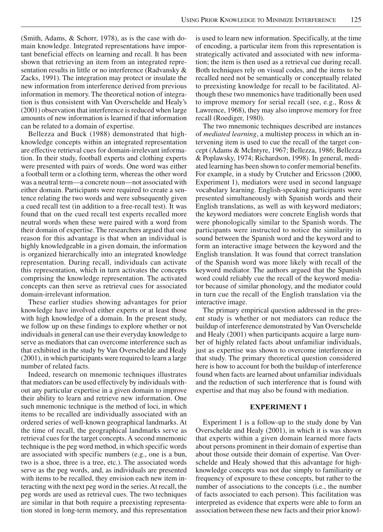(Smith, Adams, & Schorr, 1978), as is the case with domain knowledge. Integrated representations have important beneficial effects on learning and recall. It has been shown that retrieving an item from an integrated representation results in little or no interference (Radvansky & Zacks, 1991). The integration may protect or insulate the new information from interference derived from previous information in memory. The theoretical notion of integration is thus consistent with Van Overschelde and Healy's (2001) observation that interference is reduced when large amounts of new information is learned if that information can be related to a domain of expertise.

Bellezza and Buck (1988) demonstrated that highknowledge concepts within an integrated representation are effective retrieval cues for domain-irrelevant information. In their study, football experts and clothing experts were presented with pairs of words. One word was either a football term or a clothing term, whereas the other word was a neutral term—a concrete noun—not associated with either domain. Participants were required to create a sentence relating the two words and were subsequently given a cued recall test (in addition to a free-recall test). It was found that on the cued recall test experts recalled more neutral words when these were paired with a word from their domain of expertise. The researchers argued that one reason for this advantage is that when an individual is highly knowledgeable in a given domain, the information is organized hierarchically into an integrated knowledge representation. During recall, individuals can activate this representation, which in turn activates the concepts comprising the knowledge representation. The activated concepts can then serve as retrieval cues for associated domain-irrelevant information.

These earlier studies showing advantages for prior knowledge have involved either experts or at least those with high knowledge of a domain. In the present study, we follow up on these findings to explore whether or not individuals in general can use their everyday knowledge to serve as mediators that can overcome interference such as that exhibited in the study by Van Overschelde and Healy (2001), in which participants were required to learn a large number of related facts.

Indeed, research on mnemonic techniques illustrates that mediators can be used effectively by individuals without any particular expertise in a given domain to improve their ability to learn and retrieve new information. One such mnemonic technique is the method of loci, in which items to be recalled are individually associated with an ordered series of well-known geographical landmarks. At the time of recall, the geographical landmarks serve as retrieval cues for the target concepts. A second mnemonic technique is the peg word method, in which specific words are associated with specific numbers (e.g., one is a bun, two is a shoe, three is a tree, etc.). The associated words serve as the peg words, and, as individuals are presented with items to be recalled, they envision each new item interacting with the next peg word in the series. At recall, the peg words are used as retrieval cues. The two techniques are similar in that both require a preexisting representation stored in long-term memory, and this representation

is used to learn new information. Specifically, at the time of encoding, a particular item from this representation is strategically activated and associated with new information; the item is then used as a retrieval cue during recall. Both techniques rely on visual codes, and the items to be recalled need not be semantically or conceptually related to preexisting knowledge for recall to be facilitated. Although these two mnemonics have traditionally been used to improve memory for serial recall (see, e.g., Ross & Lawrence, 1968), they may also improve memory for free recall (Roediger, 1980).

The two mnemonic techniques described are instances of *mediated learning*, a multistep process in which an intervening item is used to cue the recall of the target concept (Adams & McIntyre, 1967; Bellezza, 1986; Bellezza & Poplawsky, 1974; Richardson, 1998). In general, mediated learning has been shown to confer memorial benefits. For example, in a study by Crutcher and Ericsson (2000, Experiment 1), mediators were used in second language vocabulary learning. English-speaking participants were presented simultaneously with Spanish words and their English translations, as well as with keyword mediators; the keyword mediators were concrete English words that were phonologically similar to the Spanish words. The participants were instructed to notice the similarity in sound between the Spanish word and the keyword and to form an interactive image between the keyword and the English translation. It was found that correct translation of the Spanish word was more likely with recall of the keyword mediator. The authors argued that the Spanish word could reliably cue the recall of the keyword mediator because of similar phonology, and the mediator could in turn cue the recall of the English translation via the interactive image.

The primary empirical question addressed in the present study is whether or not mediators can reduce the buildup of interference demonstrated by Van Overschelde and Healy (2001) when participants acquire a large number of highly related facts about unfamiliar individuals, just as expertise was shown to overcome interference in that study. The primary theoretical question considered here is how to account for both the buildup of interference found when facts are learned about unfamiliar individuals and the reduction of such interference that is found with expertise and that may also be found with mediation.

# **EXPERIMENT 1**

Experiment 1 is a follow-up to the study done by Van Overschelde and Healy (2001), in which it is was shown that experts within a given domain learned more facts about persons prominent in their domain of expertise than about those outside their domain of expertise. Van Overschelde and Healy showed that this advantage for highknowledge concepts was not due simply to familiarity or frequency of exposure to these concepts, but rather to the number of associations to the concepts (i.e., the number of facts associated to each person). This facilitation was interpreted as evidence that experts were able to form an association between these new facts and their prior knowl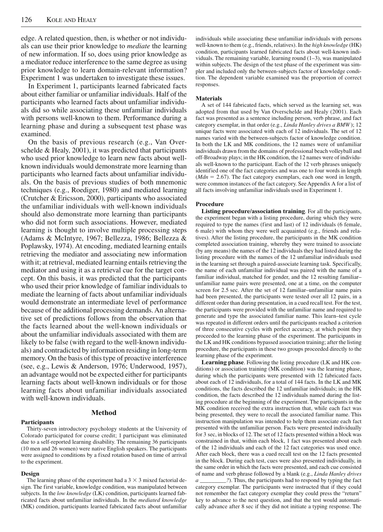edge. A related question, then, is whether or not individuals can use their prior knowledge to *mediate* the learning of new information. If so, does using prior knowledge as a mediator reduce interference to the same degree as using prior knowledge to learn domain-relevant information? Experiment 1 was undertaken to investigate these issues.

In Experiment 1, participants learned fabricated facts about either familiar or unfamiliar individuals. Half of the participants who learned facts about unfamiliar individuals did so while associating these unfamiliar individuals with persons well-known to them. Performance during a learning phase and during a subsequent test phase was examined.

On the basis of previous research (e.g., Van Overschelde & Healy, 2001), it was predicted that participants who used prior knowledge to learn new facts about wellknown individuals would demonstrate more learning than participants who learned facts about unfamiliar individuals. On the basis of previous studies of both mnemonic techniques (e.g., Roediger, 1980) and mediated learning (Crutcher & Ericsson, 2000), participants who associated the unfamiliar individuals with well-known individuals should also demonstrate more learning than participants who did not form such associations. However, mediated learning is thought to involve multiple processing steps (Adams & McIntyre, 1967; Bellezza, 1986; Bellezza & Poplawsky, 1974). At encoding, mediated learning entails retrieving the mediator and associating new information with it; at retrieval, mediated learning entails retrieving the mediator and using it as a retrieval cue for the target concept. On this basis, it was predicted that the participants who used their prior knowledge of familiar individuals to mediate the learning of facts about unfamiliar individuals would demonstrate an intermediate level of performance because of the additional processing demands. An alternative set of predictions follows from the observation that the facts learned about the well-known individuals or about the unfamiliar individuals associated with them are likely to be false (with regard to the well-known individuals) and contradicted by information residing in long-term memory. On the basis of this type of proactive interference (see, e.g., Lewis & Anderson, 1976; Underwood, 1957), an advantage would not be expected either for participants learning facts about well-known individuals or for those learning facts about unfamiliar individuals associated with well-known individuals.

## **Participants**

# **Method**

Thirty-seven introductory psychology students at the University of Colorado participated for course credit; 1 participant was eliminated due to a self-reported learning disability. The remaining 36 participants (10 men and 26 women) were native English speakers. The participants were assigned to conditions by a fixed rotation based on time of arrival to the experiment.

## **Design**

The learning phase of the experiment had a  $3 \times 3$  mixed factorial design. The first variable, knowledge condition, was manipulated between subjects. In the *low knowledge* (LK) condition, participants learned fabricated facts about unfamiliar individuals. In the *mediated knowledge* (MK) condition, participants learned fabricated facts about unfamiliar

individuals while associating these unfamiliar individuals with persons well-known to them (e.g., friends, relatives). In the *high knowledge* (HK) condition, participants learned fabricated facts about well-known individuals. The remaining variable, learning round (1–3), was manipulated within subjects. The design of the test phase of the experiment was simpler and included only the between-subjects factor of knowledge condition. The dependent variable examined was the proportion of correct responses.

#### **Materials**

A set of 144 fabricated facts, which served as the learning set, was adopted from that used by Van Overschelde and Healy (2001). Each fact was presented as a sentence including person, verb phrase, and fact category exemplar, in that order (e.g., *Linda Hanley drives a BMW* ); 12 unique facts were associated with each of 12 individuals. The set of 12 names varied with the between-subjects factor of knowledge condition. In both the LK and MK conditions, the 12 names were of unfamiliar individuals drawn from the domains of professional beach volleyball and off-Broadway plays; in the HK condition, the 12 names were of individuals well-known to the participant. Each of the 12 verb phrases uniquely identified one of the fact categories and was one to four words in length  $(Mdn = 2.67)$ . The fact category exemplars, each one word in length, were common instances of the fact category. See Appendix A for a list of all facts involving unfamiliar individuals used in Experiment 1.

## **Procedure**

**Listing procedure/association training**. For all the participants, the experiment began with a listing procedure, during which they were required to type the names (first and last) of 12 individuals (6 female, 6 male) with whom they were well acquainted (e.g., friends and relatives). After the listing procedure, the participants in the MK condition completed association training, whereby they were trained to associate (by any means) the names of the 12 individuals they had listed during the listing procedure with the names of the 12 unfamiliar individuals used in the learning set through a paired-associate learning task. Specifically, the name of each unfamiliar individual was paired with the name of a familiar individual, matched for gender, and the 12 resulting familiar– unfamiliar name pairs were presented, one at a time, on the computer screen for 2.5 sec. After the set of 12 familiar–unfamiliar name pairs had been presented, the participants were tested over all 12 pairs, in a different order than during presentation, in a cued recall test. For the test, the participants were provided with the unfamiliar name and required to generate and type the associated familiar name. This learn–test cycle was repeated in different orders until the participants reached a criterion of three consecutive cycles with perfect accuracy, at which point they proceeded to the learning phase of the experiment. The participants in the LK and HK conditions bypassed association training; after the listing procedure, the participants in these two groups proceeded directly to the learning phase of the experiment.

**Learning phase**. Following the listing procedure (LK and HK conditions) or association training (MK condition) was the learning phase, during which the participants were presented with 12 fabricated facts about each of 12 individuals, for a total of 144 facts. In the LK and MK conditions, the facts described the 12 unfamiliar individuals; in the HK condition, the facts described the 12 individuals named during the listing procedure at the beginning of the experiment. The participants in the MK condition received the extra instruction that, while each fact was being presented, they were to recall the associated familiar name. This instruction manipulation was intended to help them associate each fact presented with the unfamiliar person. Facts were presented individually for 3 sec, in blocks of 12. The set of 12 facts presented within a block was constrained in that, within each block, 1 fact was presented about each of the 12 individuals and each of the 12 fact categories was used once. After each block, there was a cued recall test on the 12 facts presented in the block. During each test, cues were also presented individually, in the same order in which the facts were presented, and each cue consisted of name and verb phrase followed by a blank (e.g., *Linda Hanley drives a \_\_\_\_\_\_\_\_\_?*). Thus, the participants had to respond by typing the fact category exemplar. The participants were instructed that if they could not remember the fact category exemplar they could press the "return" key to advance to the next question, and that the test would automati-

cally advance after 8 sec if they did not initiate a typing response. The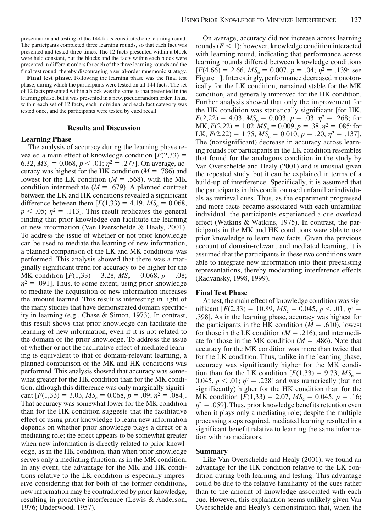presentation and testing of the 144 facts constituted one learning round. The participants completed three learning rounds, so that each fact was presented and tested three times. The 12 facts presented within a block were held constant, but the blocks and the facts within each block were presented in different orders for each of the three learning rounds and the final test round, thereby discouraging a serial-order mnemonic strategy.

**Final test phase**. Following the learning phase was the final test phase, during which the participants were tested on all 144 facts. The set of 12 facts presented within a block was the same as that presented in the learning phase, but it was presented in a new, pseudorandom order. Thus, within each set of 12 facts, each individual and each fact category was tested once, and the participants were tested by cued recall.

# **Results and Discussion**

## **Learning Phase**

The analysis of accuracy during the learning phase revealed a main effect of knowledge condition  $[F(2,33)] =$ 6.32,  $MS_e = 0.068$ ,  $p < .01$ ;  $\eta^2 = .277$ ]. On average, accuracy was highest for the HK condition  $(M = .786)$  and lowest for the LK condition  $(M = .568)$ , with the MK condition intermediate  $(M = .679)$ . A planned contrast between the LK and HK conditions revealed a significant difference between them  $[F(1,33) = 4.19, MS_e = 0.068,$  $p < .05$ ;  $\eta^2 = .113$ . This result replicates the general finding that prior knowledge can facilitate the learning of new information (Van Overschelde & Healy, 2001). To address the issue of whether or not prior knowledge can be used to mediate the learning of new information, a planned comparison of the LK and MK conditions was performed. This analysis showed that there was a marginally significant trend for accuracy to be higher for the MK condition  $[F(1,33) = 3.28, MS_e = 0.068, p = .08;$  $\eta^2$  = .091]. Thus, to some extent, using prior knowledge to mediate the acquisition of new information increases the amount learned. This result is interesting in light of the many studies that have demonstrated domain specificity in learning (e.g., Chase & Simon, 1973). In contrast, this result shows that prior knowledge can facilitate the learning of new information, even if it is not related to the domain of the prior knowledge. To address the issue of whether or not the facilitative effect of mediated learning is equivalent to that of domain-relevant learning, a planned comparison of the MK and HK conditions was performed. This analysis showed that accuracy was somewhat greater for the HK condition than for the MK condition, although this difference was only marginally significant  $[F(1,33) = 3.03, MS_e = 0.068, p = .09; \eta^2 = .084]$ . That accuracy was somewhat lower for the MK condition than for the HK condition suggests that the facilitative effect of using prior knowledge to learn new information depends on whether prior knowledge plays a direct or a mediating role; the effect appears to be somewhat greater when new information is directly related to prior knowledge, as in the HK condition, than when prior knowledge serves only a mediating function, as in the MK condition. In any event, the advantage for the MK and HK conditions relative to the LK condition is especially impressive considering that for both of the former conditions, new information may be contradicted by prior knowledge, resulting in proactive interference (Lewis & Anderson, 1976; Underwood, 1957).

On average, accuracy did not increase across learning rounds  $(F < 1)$ ; however, knowledge condition interacted with learning round, indicating that performance across learning rounds differed between knowledge conditions  $[F(4,66) = 2.66, MS_e = 0.007, p = .04; \eta^2 = .139; \text{ see}$ Figure 1]. Interestingly, performance decreased monotonically for the LK condition, remained stable for the MK condition, and generally improved for the HK condition. Further analysis showed that only the improvement for the HK condition was statistically significant [for HK,  $F(2,22) = 4.03$ ,  $MS_e = 0.003$ ,  $p = .03$ ,  $\eta^2 = .268$ ; for  $MK, F(2,22) = 1.02, MS_e = 0.009, p = .38, \eta^2 = .085$ ; for LK,  $F(2,22) = 1.75$ ,  $M\ddot{S}_e = 0.010$ ,  $p = .20$ ,  $\eta^2 = .137$ . The (nonsignificant) decrease in accuracy across learning rounds for participants in the LK condition resembles that found for the analogous condition in the study by Van Overschelde and Healy (2001) and is unusual given the repeated study, but it can be explained in terms of a build-up of interference. Specifically, it is assumed that the participants in this condition used unfamiliar individuals as retrieval cues. Thus, as the experiment progressed and more facts became associated with each unfamiliar individual, the participants experienced a cue overload effect (Watkins & Watkins, 1975). In contrast, the participants in the MK and HK conditions were able to use prior knowledge to learn new facts. Given the previous account of domain-relevant and mediated learning, it is assumed that the participants in these two conditions were able to integrate new information into their preexisting representations, thereby moderating interference effects (Radvansky, 1998, 1999).

## **Final Test Phase**

At test, the main effect of knowledge condition was significant  $[F(2,33) = 10.89, MS_e = 0.045, p < .01; \eta^2$ .398]. As in the learning phase, accuracy was highest for the participants in the HK condition  $(M = .610)$ , lowest for those in the LK condition ( $M = .216$ ), and intermediate for those in the MK condition  $(M = .486)$ . Note that accuracy for the MK condition was more than twice that for the LK condition. Thus, unlike in the learning phase, accuracy was significantly higher for the MK condition than for the LK condition  $[F(1,33) = 9.73, MS_e]$ 0.045,  $p < .01$ ;  $\eta^2 = .228$ ] and was numerically (but not significantly) higher for the HK condition than for the MK condition  $[F(1,33) = 2.07, MS_e = 0.045, p = .16;$  $n^2$  = .059]. Thus, prior knowledge benefits retention even when it plays only a mediating role; despite the multiple processing steps required, mediated learning resulted in a significant benefit relative to learning the same information with no mediators.

# **Summary**

Like Van Overschelde and Healy (2001), we found an advantage for the HK condition relative to the LK condition during both learning and testing. This advantage could be due to the relative familiarity of the cues rather than to the amount of knowledge associated with each cue. However, this explanation seems unlikely given Van Overschelde and Healy's demonstration that, when the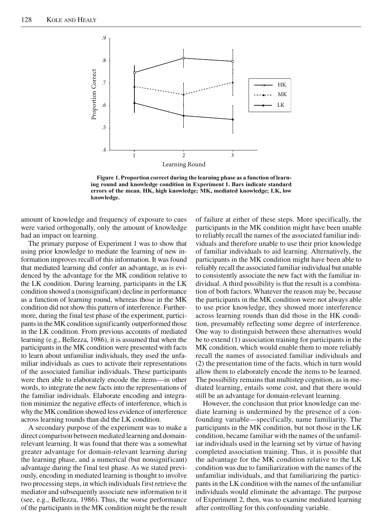

**Figure 1. Proportion correct during the learning phase as a function of learning round and knowledge condition in Experiment 1. Bars indicate standard errors of the mean. HK, high knowledge; MK, mediated knowledge; LK, low knowledge.**

amount of knowledge and frequency of exposure to cues were varied orthogonally, only the amount of knowledge had an impact on learning.

The primary purpose of Experiment 1 was to show that using prior knowledge to mediate the learning of new information improves recall of this information. It was found that mediated learning did confer an advantage, as is evidenced by the advantage for the MK condition relative to the LK condition. During learning, participants in the LK condition showed a (nonsignificant) decline in performance as a function of learning round, whereas those in the MK condition did not show this pattern of interference. Furthermore, during the final test phase of the experiment, participants in the MK condition significantly outperformed those in the LK condition. From previous accounts of mediated learning (e.g., Bellezza, 1986), it is assumed that when the participants in the MK condition were presented with facts to learn about unfamiliar individuals, they used the unfamiliar individuals as cues to activate their representations of the associated familiar individuals. These participants were then able to elaborately encode the items—in other words, to integrate the new facts into the representations of the familiar individuals. Elaborate encoding and integration minimize the negative effects of interference, which is why the MK condition showed less evidence of interference across learning rounds than did the LK condition.

A secondary purpose of the experiment was to make a direct comparison between mediated learning and domainrelevant learning. It was found that there was a somewhat greater advantage for domain-relevant learning during the learning phase, and a numerical (but nonsignificant) advantage during the final test phase. As we stated previously, encoding in mediated learning is thought to involve two processing steps, in which individuals first retrieve the mediator and subsequently associate new information to it (see, e.g., Bellezza, 1986). Thus, the worse performance of the participants in the MK condition might be the result

of failure at either of these steps. More specifically, the participants in the MK condition might have been unable to reliably recall the names of the associated familiar individuals and therefore unable to use their prior knowledge of familiar individuals to aid learning. Alternatively, the participants in the MK condition might have been able to reliably recall the associated familiar individual but unable to consistently associate the new fact with the familiar individual. A third possibility is that the result is a combination of both factors. Whatever the reason may be, because the participants in the MK condition were not always able to use prior knowledge, they showed more interference across learning rounds than did those in the HK condition, presumably reflecting some degree of interference. One way to distinguish between these alternatives would be to extend (1) association training for participants in the MK condition, which would enable them to more reliably recall the names of associated familiar individuals and (2) the presentation time of the facts, which in turn would allow them to elaborately encode the items to be learned. The possibility remains that multistep cognition, as in mediated learning, entails some cost, and that there would still be an advantage for domain-relevant learning.

However, the conclusion that prior knowledge can mediate learning is undermined by the presence of a confounding variable—specifically, name familiarity. The participants in the MK condition, but not those in the LK condition, became familiar with the names of the unfamiliar individuals used in the learning set by virtue of having completed association training. Thus, it is possible that the advantage for the MK condition relative to the LK condition was due to familiarization with the names of the unfamiliar individuals, and that familiarizing the participants in the LK condition with the names of the unfamiliar individuals would eliminate the advantage. The purpose of Experiment 2, then, was to examine mediated learning after controlling for this confounding variable.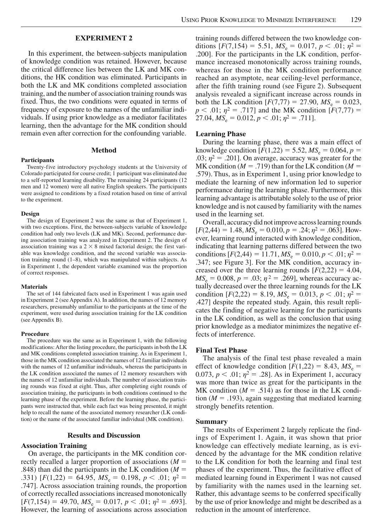# **EXPERIMENT 2**

In this experiment, the between-subjects manipulation of knowledge condition was retained. However, because the critical difference lies between the LK and MK conditions, the HK condition was eliminated. Participants in both the LK and MK conditions completed association training, and the number of association training rounds was fixed. Thus, the two conditions were equated in terms of frequency of exposure to the names of the unfamiliar individuals. If using prior knowledge as a mediator facilitates learning, then the advantage for the MK condition should remain even after correction for the confounding variable.

## **Method**

## **Participants**

Twenty-five introductory psychology students at the University of Colorado participated for course credit; 1 participant was eliminated due to a self-reported learning disability. The remaining 24 participants (12 men and 12 women) were all native English speakers. The participants were assigned to conditions by a fixed rotation based on time of arrival to the experiment.

#### **Design**

The design of Experiment 2 was the same as that of Experiment 1, with two exceptions. First, the between-subjects variable of knowledge condition had only two levels (LK and MK). Second, performance during association training was analyzed in Experiment 2. The design of association training was a  $2 \times 8$  mixed factorial design; the first variable was knowledge condition, and the second variable was association training round (1–8), which was manipulated within subjects. As in Experiment 1, the dependent variable examined was the proportion of correct responses.

#### **Materials**

The set of 144 fabricated facts used in Experiment 1 was again used in Experiment 2 (see Appendix A). In addition, the names of 12 memory researchers, presumably unfamiliar to the participants at the time of the experiment, were used during association training for the LK condition (see Appendix B).

#### **Procedure**

The procedure was the same as in Experiment 1, with the following modifications: After the listing procedure, the participants in both the LK and MK conditions completed association training. As in Experiment 1, those in the MK condition associated the names of 12 familiar individuals with the names of 12 unfamiliar individuals, whereas the participants in the LK condition associated the names of 12 memory researchers with the names of 12 unfamiliar individuals. The number of association training rounds was fixed at eight. Thus, after completing eight rounds of association training, the participants in both conditions continued to the learning phase of the experiment. Before the learning phase, the participants were instructed that, while each fact was being presented, it might help to recall the name of the associated memory researcher (LK condition) or the name of the associated familiar individual (MK condition).

#### **Results and Discussion**

# **Association Training**

On average, the participants in the MK condition correctly recalled a larger proportion of associations (*M* .848) than did the participants in the LK condition  $(M =$ .331)  $[F(1,22) = 64.95, MS_e = 0.198, p < .01; \eta^2 =$ .747]. Across association training rounds, the proportion of correctly recalled associations increased monotonically  $[F(7,154) = 49.70, MS_e = 0.017, p < .01; \eta^2 = .693].$ However, the learning of associations across association

training rounds differed between the two knowledge conditions  $[F(7,154) = 5.51, MS_e = 0.017, p < .01; \eta^2 =$ .200]. For the participants in the LK condition, performance increased monotonically across training rounds, whereas for those in the MK condition performance reached an asymptote, near ceiling-level performance, after the fifth training round (see Figure 2). Subsequent analysis revealed a significant increase across rounds in both the LK condition  $[F(7,77) = 27.90, MS_e = 0.023,$  $p < .01$ ;  $\eta^2 = .717$ ] and the MK condition  $[F(7,77) =$  $27.04, MS_e = 0.012, p < .01; \eta^2 = .711$ .

## **Learning Phase**

During the learning phase, there was a main effect of knowledge condition  $[F(1,22) = 5.52, MS_e = 0.064, p =$ .03;  $\eta^2$  = .201]. On average, accuracy was greater for the MK condition ( $M = .719$ ) than for the LK condition ( $M =$ .579). Thus, as in Experiment 1, using prior knowledge to mediate the learning of new information led to superior performance during the learning phase. Furthermore, this learning advantage is attributable solely to the use of prior knowledge and is not caused by familiarity with the names used in the learning set.

Overall, accuracy did not improve across learning rounds  $[F(2,44) = 1.48, MS_e = 0.010, p = .24; \eta^2 = .063]$ . However, learning round interacted with knowledge condition, indicating that learning patterns differed between the two conditions  $[F(2,44) = 11.71, MS_e = 0.010, p < .01; \eta^2$ .347; see Figure 3]. For the MK condition, accuracy increased over the three learning rounds  $[F(2,22) = 4.04]$ ,  $MS_e = 0.008$ ,  $p = .03$ ;  $\eta^2 = .269$ ], whereas accuracy actually decreased over the three learning rounds for the LK condition  $[F(2,22) = 8.19, MS_e = 0.013, p < .01; \eta^2$ .427] despite the repeated study. Again, this result replicates the finding of negative learning for the participants in the LK condition, as well as the conclusion that using prior knowledge as a mediator minimizes the negative effects of interference.

## **Final Test Phase**

The analysis of the final test phase revealed a main effect of knowledge condition  $[F(1,22) = 8.43, MS_e]$ 0.073,  $p < .01$ ;  $\eta^2 = .28$ ]. As in Experiment 1, accuracy was more than twice as great for the participants in the MK condition  $(M = .514)$  as for those in the LK condition  $(M = .193)$ , again suggesting that mediated learning strongly benefits retention.

## **Summary**

The results of Experiment 2 largely replicate the findings of Experiment 1. Again, it was shown that prior knowledge can effectively mediate learning, as is evidenced by the advantage for the MK condition relative to the LK condition for both the learning and final test phases of the experiment. Thus, the facilitative effect of mediated learning found in Experiment 1 was not caused by familiarity with the names used in the learning set. Rather, this advantage seems to be conferred specifically by the use of prior knowledge and might be described as a reduction in the amount of interference.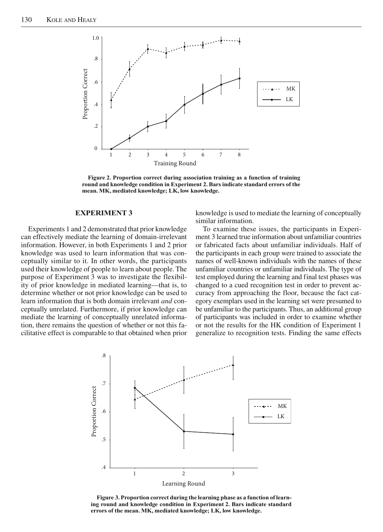

**Figure 2. Proportion correct during association training as a function of training round and knowledge condition in Experiment 2. Bars indicate standard errors of the mean. MK, mediated knowledge; LK, low knowledge.**

# **EXPERIMENT 3**

Experiments 1 and 2 demonstrated that prior knowledge can effectively mediate the learning of domain-irrelevant information. However, in both Experiments 1 and 2 prior knowledge was used to learn information that was conceptually similar to it. In other words, the participants used their knowledge of people to learn about people. The purpose of Experiment 3 was to investigate the flexibility of prior knowledge in mediated learning—that is, to determine whether or not prior knowledge can be used to learn information that is both domain irrelevant *and* conceptually unrelated. Furthermore, if prior knowledge can mediate the learning of conceptually unrelated information, there remains the question of whether or not this facilitative effect is comparable to that obtained when prior knowledge is used to mediate the learning of conceptually similar information.

To examine these issues, the participants in Experiment 3 learned true information about unfamiliar countries or fabricated facts about unfamiliar individuals. Half of the participants in each group were trained to associate the names of well-known individuals with the names of these unfamiliar countries or unfamiliar individuals. The type of test employed during the learning and final test phases was changed to a cued recognition test in order to prevent accuracy from approaching the floor, because the fact category exemplars used in the learning set were presumed to be unfamiliar to the participants. Thus, an additional group of participants was included in order to examine whether or not the results for the HK condition of Experiment 1 generalize to recognition tests. Finding the same effects



**Figure 3. Proportion correct during the learning phase as a function of learning round and knowledge condition in Experiment 2. Bars indicate standard errors of the mean. MK, mediated knowledge; LK, low knowledge.**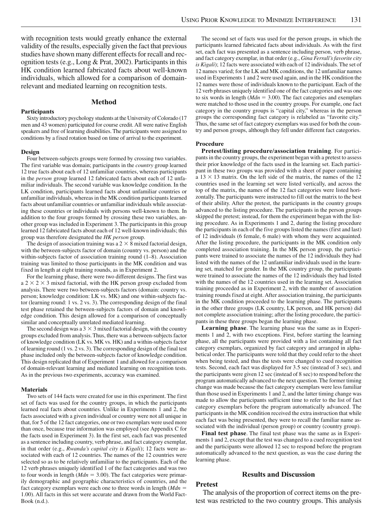with recognition tests would greatly enhance the external validity of the results, especially given the fact that previous studies have shown many different effects for recall and recognition tests (e.g., Long & Prat, 2002). Participants in this HK condition learned fabricated facts about well-known individuals, which allowed for a comparison of domainrelevant and mediated learning on recognition tests.

# **Method**

## **Participants**

Sixty introductory psychology students at the University of Colorado (17 men and 43 women) participated for course credit. All were native English speakers and free of learning disabilities. The participants were assigned to conditions by a fixed rotation based on time of arrival to the experiment.

#### **Design**

Four between-subjects groups were formed by crossing two variables. The first variable was domain; participants in the *country* group learned 12 true facts about each of 12 unfamiliar countries, whereas participants in the *person* group learned 12 fabricated facts about each of 12 unfamiliar individuals. The second variable was knowledge condition. In the LK condition, participants learned facts about unfamiliar countries or unfamiliar individuals, whereas in the MK condition participants learned facts about unfamiliar countries or unfamiliar individuals while associating these countries or individuals with persons well-known to them. In addition to the four groups formed by crossing these two variables, another group was included in Experiment 3. The participants in this group learned 12 fabricated facts about each of 12 well-known individuals; this group was therefore designated the *HK person* group.

The design of association training was a  $2 \times 8$  mixed factorial design, with the between-subjects factor of domain (country vs. person) and the within-subjects factor of association training round (1–8). Association training was limited to those participants in the MK condition and was fixed in length at eight training rounds, as in Experiment 2.

For the learning phase, there were two different designs. The first was a  $2 \times 2 \times 3$  mixed factorial, with the HK person group excluded from analysis. There were two between-subjects factors (domain: country vs. person; knowledge condition: LK vs. MK) and one within-subjects factor (learning round: 1 vs. 2 vs. 3). The corresponding design of the final test phase retained the between-subjects factors of domain and knowledge condition. This design allowed for a comparison of conceptually similar and conceptually unrelated mediated learning.

The second design was a  $3 \times 3$  mixed factorial design, with the country groups excluded from analysis. Thus, there was a between-subjects factor of knowledge condition (LK vs. MK vs. HK) and a within-subjects factor of learning round (1 vs. 2 vs. 3). The corresponding design of the final test phase included only the between-subjects factor of knowledge condition. This design replicated that of Experiment 1 and allowed for a comparison of domain-relevant learning and mediated learning on recognition tests. As in the previous two experiments, accuracy was examined.

#### **Materials**

Two sets of 144 facts were created for use in this experiment. The first set of facts was used for the country groups, in which the participants learned real facts about countries. Unlike in Experiments 1 and 2, the facts associated with a given individual or country were not all unique in that, for 5 of the 12 fact categories, one or two exemplars were used more than once, because true information was employed (see Appendix C for the facts used in Experiment 3). In the first set, each fact was presented as a sentence including country, verb phrase, and fact category exemplar, in that order (e.g., *Rwanda's capital city is Kigali*); 12 facts were associated with each of 12 countries. The names of the 12 countries were selected so as to be relatively unfamiliar to the participants. Each of the 12 verb phrases uniquely identified 1 of the fact categories and was two to four words in length  $(Mdn = 3.00)$ . The fact categories were primarily demographic and geographic characteristics of countries, and the fact category exemplars were each one to three words in length (*Mdn* 1.00). All facts in this set were accurate and drawn from the World Fact-Book (n.d.).

The second set of facts was used for the person groups, in which the participants learned fabricated facts about individuals. As with the first set, each fact was presented as a sentence including person, verb phrase, and fact category exemplar, in that order (e.g., *Gina Ferrall's favorite city is Kigali*); 12 facts were associated with each of 12 individuals. The set of 12 names varied; for the LK and MK conditions, the 12 unfamiliar names used in Experiments 1 and 2 were used again, and in the HK condition the 12 names were those of individuals known to the participant. Each of the 12 verb phrases uniquely identified one of the fact categories and was one to six words in length  $(Mdn = 3.00)$ . The fact categories and exemplars were matched to those used in the country groups. For example, one fact category in the country groups is "capital city," whereas in the person groups the corresponding fact category is relabeled as "favorite city." Thus, the same set of fact category exemplars was used for both the country and person groups, although they fell under different fact categories.

#### **Procedure**

**Pretest/listing procedure/association training**. For participants in the country groups, the experiment began with a pretest to assess their prior knowledge of the facts used in the learning set. Each participant in these two groups was provided with a sheet of paper containing a  $13 \times 13$  matrix. On the left side of the matrix, the names of the 12 countries used in the learning set were listed vertically, and across the top of the matrix, the names of the 12 fact categories were listed horizontally. The participants were instructed to fill out the matrix to the best of their ability. After the pretest, the participants in the country groups advanced to the listing procedure. The participants in the person groups skipped the pretest; instead, for them the experiment began with the listing procedure. As in Experiments 1 and 2, during the listing procedure the participants in each of the five groups listed the names (first and last) of 12 individuals (6 female, 6 male) with whom they were acquainted. After the listing procedure, the participants in the MK condition only completed association training. In the MK person group, the participants were trained to associate the names of the 12 individuals they had listed with the names of the 12 unfamiliar individuals used in the learning set, matched for gender. In the MK country group, the participants were trained to associate the names of the 12 individuals they had listed with the names of the 12 countries used in the learning set. Association training proceeded as in Experiment 2, with the number of association training rounds fixed at eight. After association training, the participants in the MK condition proceeded to the learning phase. The participants in the other three groups (LK country, LK person, and HK person) did not complete association training; after the listing procedure, the participants in these three groups began the learning phase.

**Learning phase**. The learning phase was the same as in Experiments 1 and 2, with two exceptions. First, before starting the learning phase, all the participants were provided with a list containing all fact category exemplars, organized by fact category and arranged in alphabetical order. The participants were told that they could refer to the sheet when being tested, and thus the tests were changed to cued recognition tests. Second, each fact was displayed for 3.5 sec (instead of 3 sec), and the participants were given 12 sec (instead of 8 sec) to respond before the program automatically advanced to the next question. The former timing change was made because the fact category exemplars were less familiar than those used in Experiments 1 and 2, and the latter timing change was made to allow the participants sufficient time to refer to the list of fact category exemplars before the program automatically advanced. The participants in the MK condition received the extra instruction that while each fact was being presented, they were to recall the familiar name associated with the individual (person group) or country (country group).

**Final test phase**. The final test phase was the same as in Experiments 1 and 2, except that the test was changed to a cued recognition test and the participants were allowed 12 sec to respond before the program automatically advanced to the next question, as was the case during the learning phase.

# **Results and Discussion**

#### **Pretest**

The analysis of the proportion of correct items on the pretest was restricted to the two country groups. This analysis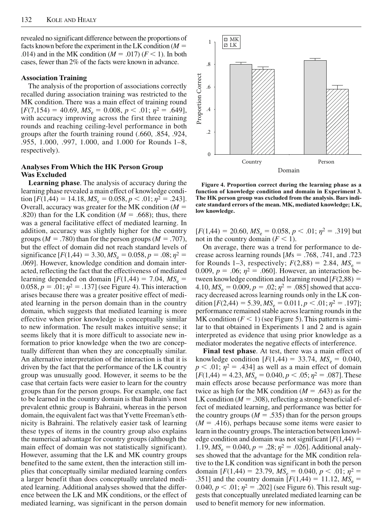revealed no significant difference between the proportions of facts known before the experiment in the LK condition (*M* .014) and in the MK condition  $(M = .017)$   $(F < 1)$ . In both cases, fewer than 2% of the facts were known in advance.

# **Association Training**

The analysis of the proportion of associations correctly recalled during association training was restricted to the MK condition. There was a main effect of training round  $[F(7,154) = 40.69, MS_e = 0.008, p < .01; \eta^2 = .649],$ with accuracy improving across the first three training rounds and reaching ceiling-level performance in both groups after the fourth training round (.660, .854, .924, .955, 1.000, .997, 1.000, and 1.000 for Rounds 1–8, respectively).

# **Analyses From Which the HK Person Group Was Excluded**

**Learning phase**. The analysis of accuracy during the learning phase revealed a main effect of knowledge condition  $[F(1,44) = 14.18, MS_e = 0.058, p < .01; \eta^2 = .243]$ . Overall, accuracy was greater for the MK condition (*M*  .820) than for the LK condition  $(M = .668)$ ; thus, there was a general facilitative effect of mediated learning. In addition, accuracy was slightly higher for the country groups ( $M = .780$ ) than for the person groups ( $M = .707$ ), but the effect of domain did not reach standard levels of significance  $[F(1,44) = 3.30, MS_e = 0.058, p = .08; \eta^2 =$ .069]. However, knowledge condition and domain interacted, reflecting the fact that the effectiveness of mediated learning depended on domain  $[F(1,44) = 7.04, MS_e]$ 0.058,  $p = .01$ ;  $\eta^2 = .137$ ] (see Figure 4). This interaction arises because there was a greater positive effect of mediated learning in the person domain than in the country domain, which suggests that mediated learning is more effective when prior knowledge is conceptually similar to new information. The result makes intuitive sense; it seems likely that it is more difficult to associate new information to prior knowledge when the two are conceptually different than when they are conceptually similar. An alternative interpretation of the interaction is that it is driven by the fact that the performance of the LK country group was unusually good. However, it seems to be the case that certain facts were easier to learn for the country groups than for the person groups. For example, one fact to be learned in the country domain is that Bahrain's most prevalent ethnic group is Bahraini, whereas in the person domain, the equivalent fact was that Yvette Freeman's ethnicity is Bahraini. The relatively easier task of learning these types of items in the country group also explains the numerical advantage for country groups (although the main effect of domain was not statistically significant). However, assuming that the LK and MK country groups benefited to the same extent, then the interaction still implies that conceptually similar mediated learning confers a larger benefit than does conceptually unrelated mediated learning. Additional analyses showed that the difference between the LK and MK conditions, or the effect of mediated learning, was significant in the person domain



**Figure 4. Proportion correct during the learning phase as a function of knowledge condition and domain in Experiment 3. The HK person group was excluded from the analysis. Bars indicate standard errors of the mean. MK, mediated knowledge; LK, low knowledge.**

 $[F(1,44) = 20.60, MS_e = 0.058, p < .01; \eta^2 = .319]$  but not in the country domain  $(F < 1)$ .

On average, there was a trend for performance to decrease across learning rounds  $[Ms = .768, .741, \text{ and } .723]$ for Rounds 1–3, respectively;  $F(2,88) = 2.84$ ,  $MS_e =$ 0.009,  $p = .06$ ;  $\eta^2 = .060$ ]. However, an interaction between knowledge condition and learning round  $[F(2,88)] =$ 4.10,  $MS_e = 0.009$ ,  $p = .02$ ;  $\eta^2 = .085$ ] showed that accuracy decreased across learning rounds only in the LK condition  $[F(2,44) = 5.39, MS_e = 0.011, p < .01; \eta^2 = .197]$ ; performance remained stable across learning rounds in the MK condition  $(F < 1)$  (see Figure 5). This pattern is similar to that obtained in Experiments 1 and 2 and is again interpreted as evidence that using prior knowledge as a mediator moderates the negative effects of interference.

**Final test phase**. At test, there was a main effect of knowledge condition  $[F(1,44) = 33.74, MS_e = 0.040,$  $p < .01$ ;  $\eta^2 = .434$ ] as well as a main effect of domain  $[F(1,44) = 4.23, MS_e = 0.040, p < .05; \eta^2 = .087]$ . These main effects arose because performance was more than twice as high for the MK condition  $(M = .643)$  as for the LK condition ( $M = .308$ ), reflecting a strong beneficial effect of mediated learning, and performance was better for the country groups ( $M = .535$ ) than for the person groups  $(M = .416)$ , perhaps because some items were easier to learn in the country groups. The interaction between knowledge condition and domain was not significant  $[F(1,44) =$ 1.19,  $MS_e = 0.040$ ,  $p = .28$ ;  $\eta^2 = .026$ ]. Additional analyses showed that the advantage for the MK condition relative to the LK condition was significant in both the person domain  $[F(1,44) = 23.79, MS_e = 0.040, p < .01; \eta^2$ .351] and the country domain  $[F(1,44) = 11.12, MS_e =$ 0.040,  $p < .01$ ;  $\eta^2 = .202$ ] (see Figure 6). This result suggests that conceptually unrelated mediated learning can be used to benefit memory for new information.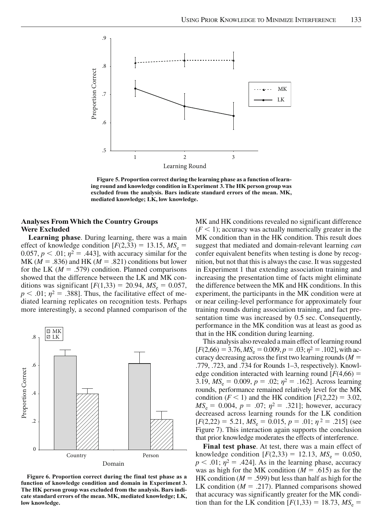

**Figure 5. Proportion correct during the learning phase as a function of learning round and knowledge condition in Experiment 3. The HK person group was excluded from the analysis. Bars indicate standard errors of the mean. MK, mediated knowledge; LK, low knowledge.**

# **Analyses From Which the Country Groups Were Excluded**

**Learning phase**. During learning, there was a main effect of knowledge condition  $[F(2,33) = 13.15, MS_e =$ 0.057,  $p < .01$ ;  $\eta^2 = .443$ ], with accuracy similar for the MK ( $M = .836$ ) and HK ( $M = .821$ ) conditions but lower for the LK  $(M = .579)$  condition. Planned comparisons showed that the difference between the LK and MK conditions was significant  $[F(1,33) = 20.94, MS_e = 0.057,$  $p < .01$ ;  $\eta^2 = .388$ ]. Thus, the facilitative effect of mediated learning replicates on recognition tests. Perhaps more interestingly, a second planned comparison of the



**Figure 6. Proportion correct during the final test phase as a function of knowledge condition and domain in Experiment 3. The HK person group was excluded from the analysis. Bars indicate standard errors of the mean. MK, mediated knowledge; LK, low knowledge.**

MK and HK conditions revealed no significant difference  $(F < 1)$ ; accuracy was actually numerically greater in the MK condition than in the HK condition. This result does suggest that mediated and domain-relevant learning *can* confer equivalent benefits when testing is done by recognition, but not that this is always the case. It was suggested in Experiment 1 that extending association training and increasing the presentation time of facts might eliminate the difference between the MK and HK conditions. In this experiment, the participants in the MK condition were at or near ceiling-level performance for approximately four training rounds during association training, and fact presentation time was increased by 0.5 sec. Consequently, performance in the MK condition was at least as good as that in the HK condition during learning.

This analysis also revealed a main effect of learning round  $[F(2,66) = 3.76, MS_e = 0.009, p = .03; \eta^2 = .102]$ , with accuracy decreasing across the first two learning rounds (*M* .779, .723, and .734 for Rounds 1–3, respectively). Knowledge condition interacted with learning round  $[F(4,66) =$ 3.19,  $MS_e = 0.009$ ,  $p = .02$ ;  $\eta^2 = .162$ ]. Across learning rounds, performance remained relatively level for the MK condition  $(F < 1)$  and the HK condition  $[F(2,22) = 3.02]$ ,  $MS_e = 0.004$ ,  $p = .07$ ;  $\eta^2 = .321$ ]; however, accuracy decreased across learning rounds for the LK condition  $[F(2,22) = 5.21, MS_e = 0.015, p = .01; \eta^2 = .215]$  (see Figure 7). This interaction again supports the conclusion that prior knowledge moderates the effects of interference.

**Final test phase**. At test, there was a main effect of knowledge condition  $[F(2,33) = 12.13, MS_e = 0.050,$  $p < .01$ ;  $\eta^2 = .424$ ]. As in the learning phase, accuracy was as high for the MK condition  $(M = .615)$  as for the HK condition ( $M = .599$ ) but less than half as high for the LK condition  $(M = .217)$ . Planned comparisons showed that accuracy was significantly greater for the MK condition than for the LK condition  $[F(1,33) = 18.73, MS_e =$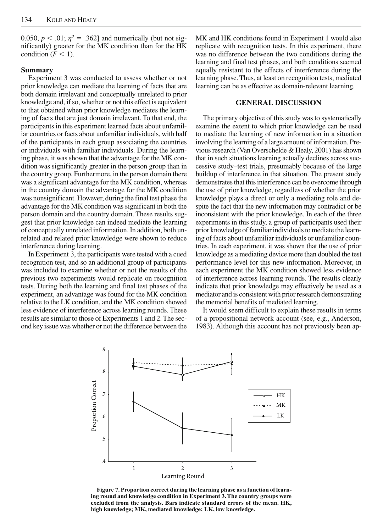0.050,  $p < .01$ ;  $\eta^2 = .362$ ] and numerically (but not significantly) greater for the MK condition than for the HK condition  $(F < 1)$ .

# **Summary**

Experiment 3 was conducted to assess whether or not prior knowledge can mediate the learning of facts that are both domain irrelevant and conceptually unrelated to prior knowledge and, if so, whether or not this effect is equivalent to that obtained when prior knowledge mediates the learning of facts that are just domain irrelevant. To that end, the participants in this experiment learned facts about unfamiliar countries or facts about unfamiliar individuals, with half of the participants in each group associating the countries or individuals with familiar individuals. During the learning phase, it was shown that the advantage for the MK condition was significantly greater in the person group than in the country group. Furthermore, in the person domain there was a significant advantage for the MK condition, whereas in the country domain the advantage for the MK condition was nonsignificant. However, during the final test phase the advantage for the MK condition was significant in both the person domain and the country domain. These results suggest that prior knowledge can indeed mediate the learning of conceptually unrelated information. In addition, both unrelated and related prior knowledge were shown to reduce interference during learning.

In Experiment 3, the participants were tested with a cued recognition test, and so an additional group of participants was included to examine whether or not the results of the previous two experiments would replicate on recognition tests. During both the learning and final test phases of the experiment, an advantage was found for the MK condition relative to the LK condition, and the MK condition showed less evidence of interference across learning rounds. These results are similar to those of Experiments 1 and 2. The second key issue was whether or not the difference between the

MK and HK conditions found in Experiment 1 would also replicate with recognition tests. In this experiment, there was no difference between the two conditions during the learning and final test phases, and both conditions seemed equally resistant to the effects of interference during the learning phase. Thus, at least on recognition tests, mediated learning can be as effective as domain-relevant learning.

# **GENERAL DISCUSSION**

The primary objective of this study was to systematically examine the extent to which prior knowledge can be used to mediate the learning of new information in a situation involving the learning of a large amount of information. Previous research (Van Overschelde & Healy, 2001) has shown that in such situations learning actually declines across successive study–test trials, presumably because of the large buildup of interference in that situation. The present study demonstrates that this interference can be overcome through the use of prior knowledge, regardless of whether the prior knowledge plays a direct or only a mediating role and despite the fact that the new information may contradict or be inconsistent with the prior knowledge. In each of the three experiments in this study, a group of participants used their prior knowledge of familiar individuals to mediate the learning of facts about unfamiliar individuals or unfamiliar countries. In each experiment, it was shown that the use of prior knowledge as a mediating device more than doubled the test performance level for this new information. Moreover, in each experiment the MK condition showed less evidence of interference across learning rounds. The results clearly indicate that prior knowledge may effectively be used as a mediator and is consistent with prior research demonstrating the memorial benefits of mediated learning.

It would seem difficult to explain these results in terms of a propositional network account (see, e.g., Anderson, 1983). Although this account has not previously been ap-



**Figure 7. Proportion correct during the learning phase as a function of learning round and knowledge condition in Experiment 3. The country groups were excluded from the analysis. Bars indicate standard errors of the mean. HK, high knowledge; MK, mediated knowledge; LK, low knowledge.**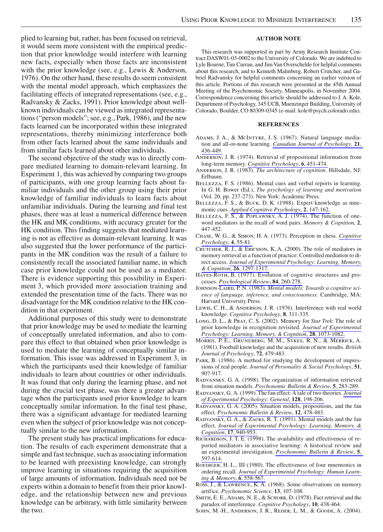plied to learning but, rather, has been focused on retrieval, it would seem more consistent with the empirical prediction that prior knowledge would interfere with learning new facts, especially when those facts are inconsistent with the prior knowledge (see, e.g., Lewis & Anderson, 1976). On the other hand, these results do seem consistent with the mental model approach, which emphasizes the facilitating effects of integrated representations (see, e.g., Radvansky & Zacks, 1991). Prior knowledge about wellknown individuals can be viewed as integrated representations ("person models"; see, e.g., Park, 1986), and the new facts learned can be incorporated within these integrated representations, thereby minimizing interference both from other facts learned about the same individuals and from similar facts learned about other individuals.

The second objective of the study was to directly compare mediated learning to domain-relevant learning. In Experiment 1, this was achieved by comparing two groups of participants, with one group learning facts about familiar individuals and the other group using their prior knowledge of familiar individuals to learn facts about unfamiliar individuals. During the learning and final test phases, there was at least a numerical difference between the HK and MK conditions, with accuracy greater for the HK condition. This finding suggests that mediated learning is not as effective as domain-relevant learning. It was also suggested that the lower performance of the participants in the MK condition was the result of a failure to consistently recall the associated familiar name, in which case prior knowledge could not be used as a mediator. There is evidence supporting this possibility in Experiment 3, which provided more association training and extended the presentation time of the facts. There was no disadvantage for the MK condition relative to the HK condition in that experiment.

Additional purposes of this study were to demonstrate that prior knowledge may be used to mediate the learning of conceptually unrelated information, and also to compare this effect to that obtained when prior knowledge is used to mediate the learning of conceptually similar information. This issue was addressed in Experiment 3, in which the participants used their knowledge of familiar individuals to learn about countries or other individuals. It was found that only during the learning phase, and not during the crucial test phase, was there a greater advantage when the participants used prior knowledge to learn conceptually similar information. In the final test phase, there was a significant advantage for mediated learning even when the subject of prior knowledge was not conceptually similar to the new information.

The present study has practical implications for education. The results of each experiment demonstrate that a simple and fast technique, such as associating information to be learned with preexisting knowledge, can strongly improve learning in situations requiring the acquisition of large amounts of information. Individuals need not be experts within a domain to benefit from their prior knowledge, and the relationship between new and previous knowledge can be arbitrary, with little similarity between the two.

#### **AUTHOR NOTE**

This research was supported in part by Army Research Institute Contract DASW01-03-0002 to the University of Colorado. We are indebted to Lyle Bourne, Tim Curran, and Jim Van Overschelde for helpful comments about this research, and to Kenneth Malmberg, Robert Crutcher, and Gabriel Radvansky for helpful comments concerning an earlier version of this article. Portions of this research were presented at the 45th Annual Meeting of the Psychonomic Society, Minneapolis, in November 2004. Correspondence concerning this article should be addressed to J. A. Kole, Department of Psychology, 345 UCB, Muenzinger Building, University of Colorado, Boulder, CO 80309-0345 (e-mail: kole@psych.colorado.edu).

#### **REFERENCES**

- ADAMS, J. A., & MCINTYRE, J. S. (1967). Natural language mediation and all-or-none learning. *Canadian Journal of Psychology*, **21**, 436-449.
- ANDERSON, J. R. (1974). Retrieval of propositional information from long-term memory. *Cognitive Psychology*, **6**, 451-474.
- Anderson, J. R. (1983). *The architecture of cognition*. Hillsdale, NJ: Erlbaum.
- BELLEZZA, F. S. (1986). Mental cues and verbal reports in learning. In G. H. Bower (Ed.), *The psychology of learning and motivation* (Vol. 20, pp. 237-273). New York: Academic Press.
- BELLEZZA, F. S., & BUCK, D. K. (1988). Expert knowledge as mnemonic cues. *Applied Cognitive Psychology*, **2**, 147-162.
- BELLEZZA, F. S., & POPLAWSKY, A. J. (1974). The function of oneword mediators in the recall of word pairs. *Memory & Cognition*, **2**, 447-452.
- Chase, W. G., & Simon, H. A. (1973). Perception in chess. *Cognitive Psychology*, **4**, 55-81.
- Crutcher, R. J., & Ericsson, K. A. (2000). The role of mediators in memory retrieval as a function of practice: Controlled mediation to direct access. *Journal of Experimental Psychology: Learning, Memory, & Cognition*, **26**, 1297-1317.
- HAYES-ROTH, B. (1977). Evolution of cognitive structures and processes. *Psychological Review*, **84**, 260-278.
- JOHNSON-LAIRD, P. N. (1983). *Mental models: Towards a cognitive science of language, inference, and consciousness*. Cambridge, MA: Harvard University Press.
- Lewis, C. H., & Anderson, J. R. (1976). Interference with real world knowledge. *Cognitive Psychology*, **8**, 311-335.
- Long, D. L., & Prat, C. S. (2002). Memory for *Star Trek*: The role of prior knowledge in recognition revisited. *Journal of Experimental Psychology: Learning, Memory, & Cognition*, **28**, 1073-1082.
- Morris, P. E., Gruneberg, M. M., Sykes, R. N., & Merrick, A. (1981). Football knowledge and the acquisition of new results. *British Journal of Psychology*, **72**, 479-483.
- Park, B. (1986). A method for studying the development of impressions of real people. *Journal of Personality & Social Psychology*, **51**, 907-917.
- Radvansky, G. A. (1998). The organization of information retrieved from situation models. *Psychonomic Bulletin & Review*, **5**, 283-289.
- Radvansky, G. A. (1999). The fan effect: A tale of two theories. *Journal of Experimental Psychology: General*, **128**, 198-206.
- Radvansky, G. A. (2005). Situation models, propositions, and the fan effect. *Psychonomic Bulletin & Review*, **12**, 478-483.
- Radvansky, G. A., & Zacks, R. T. (1991). Mental models and the fan effect. *Journal of Experimental Psychology: Learning, Memory, & Cognition*, **17**, 940-953.
- RICHARDSON, J. T. E. (1998). The availability and effectiveness of reported mediators in associative learning: A historical review and an experimental investigation. *Psychonomic Bulletin & Review*, **5**, 597-614.
- ROEDIGER, H. L., III (1980). The effectiveness of four mnemonics in ordering recall. *Journal of Experimental Psychology: Human Learning & Memory*, **6**, 558-567.
- Ross, J., & Lawrence, K. A. (1968). Some observations on memory artifice. *Psychonomic Science*, **13**, 107-108.
- SMITH, E. E., ADAMS, N. E., & SCHORR, D. (1978). Fact retrieval and the paradox of interference. *Cognitive Psychology*, **10**, 438-464.
- Sohn, M.-H., Anderson, J. R., Reder, L. M., & Goode, A. (2004).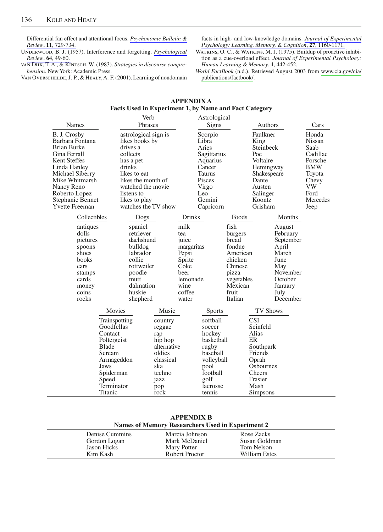Differential fan effect and attentional focus. *Psychonomic Bulletin & Review*, **11**, 729-734.

UNDERWOOD, B. J. (1957). Interference and forgetting. *Psychological Review*, **64**, 49-60.

van Dijk, T. A., & Kintsch, W. (1983). *Strategies in discourse comprehension*. New York: Academic Press.

VAN OVERSCHELDE, J. P., & HEALY, A. F. (2001). Learning of nondomain

facts in high- and low-knowledge domains. *Journal of Experimental Psychology: Learning, Memory, & Cognition*, **27**, 1160-1171.

WATKINS, O. C., & WATKINS, M. J. (1975). Buildup of proactive inhibition as a cue-overload effect. *Journal of Experimental Psychology: Human Learning & Memory*, **1**, 442-452.

*World FactBook* (n.d.). Retrieved August 2003 from www.cia.gov/cia/ publications/factbook/.

| <b>APPENDIXA</b><br>Facts Used in Experiment 1, by Name and Fact Category                                                |                                                                                                                           |                                     |                                                                                                     |                                                                          |                                                                                                                 |                                                                              |                                                                                                            |                                                                        |
|--------------------------------------------------------------------------------------------------------------------------|---------------------------------------------------------------------------------------------------------------------------|-------------------------------------|-----------------------------------------------------------------------------------------------------|--------------------------------------------------------------------------|-----------------------------------------------------------------------------------------------------------------|------------------------------------------------------------------------------|------------------------------------------------------------------------------------------------------------|------------------------------------------------------------------------|
|                                                                                                                          |                                                                                                                           |                                     |                                                                                                     |                                                                          |                                                                                                                 |                                                                              |                                                                                                            |                                                                        |
| Names                                                                                                                    |                                                                                                                           | Verb<br>Phrases                     |                                                                                                     | Astrological<br>Signs                                                    |                                                                                                                 | Authors                                                                      |                                                                                                            | Cars                                                                   |
| B. J. Crosby<br>Barbara Fontana<br>Brian Burke<br>Gina Ferrall<br><b>Kent Steffes</b><br>Linda Hanley<br>Michael Siberry | astrological sign is<br>likes books by<br>drives a<br>collects<br>has a pet<br>drinks<br>likes to eat                     |                                     |                                                                                                     | Scorpio<br>Libra<br>Aries<br>Sagittarius<br>Aquarius<br>Cancer<br>Taurus |                                                                                                                 | Faulkner<br>King<br>Steinbeck<br>Poe<br>Voltaire<br>Hemingway<br>Shakespeare |                                                                                                            | Honda<br>Nissan<br>Saab<br>Cadillac<br>Porsche<br><b>BMW</b><br>Toyota |
| Mike Whitmarsh<br>Nancy Reno                                                                                             | likes the month of<br>watched the movie                                                                                   |                                     |                                                                                                     | Pisces<br>Virgo                                                          |                                                                                                                 | Dante<br>Austen                                                              |                                                                                                            | Chevy<br>VW                                                            |
| Roberto Lopez                                                                                                            | listens to                                                                                                                |                                     |                                                                                                     | Leo                                                                      |                                                                                                                 | Salinger                                                                     |                                                                                                            | Ford                                                                   |
| Stephanie Bennet<br><b>Yvette Freeman</b>                                                                                | likes to play<br>watches the TV show                                                                                      |                                     |                                                                                                     | Gemini                                                                   |                                                                                                                 | Koontz<br>Grisham                                                            |                                                                                                            | <b>Mercedes</b>                                                        |
|                                                                                                                          |                                                                                                                           |                                     |                                                                                                     | Capricorn                                                                |                                                                                                                 |                                                                              |                                                                                                            | Jeep                                                                   |
| Collectibles                                                                                                             | Dogs                                                                                                                      |                                     | Drinks                                                                                              |                                                                          | Foods                                                                                                           |                                                                              | Months                                                                                                     |                                                                        |
| antiques<br>dolls<br>pictures<br>spoons<br>shoes<br>books<br>cars<br>stamps<br>cards<br>money<br>coins                   | spaniel<br>retriever<br>dachshund<br>bulldog<br>labrador<br>collie<br>rottweiler<br>poodle<br>mutt<br>dalmation<br>huskie |                                     | milk<br>tea<br>juice<br>margaritas<br>Pepsi<br>Sprite<br>Coke<br>beer<br>lemonade<br>wine<br>coffee |                                                                          | fish<br>burgers<br>bread<br>fondue<br>American<br>chicken<br>Chinese<br>pizza<br>vegetables<br>Mexican<br>fruit |                                                                              | August<br>February<br>September<br>April<br>March<br>June<br>May<br>November<br>October<br>January<br>July |                                                                        |
| rocks                                                                                                                    | shepherd                                                                                                                  |                                     | water                                                                                               |                                                                          | Italian                                                                                                         |                                                                              | December                                                                                                   |                                                                        |
|                                                                                                                          | Movies                                                                                                                    | Music                               |                                                                                                     | <b>Sports</b><br>softball                                                |                                                                                                                 | <b>TV Shows</b><br><b>CSI</b>                                                |                                                                                                            |                                                                        |
|                                                                                                                          | Trainspotting<br>Goodfellas<br>Contact<br>Poltergeist                                                                     | country<br>reggae<br>rap<br>hip hop |                                                                                                     | soccer<br>hockey<br>basketball                                           |                                                                                                                 | Seinfeld<br>Alias<br>ER                                                      |                                                                                                            |                                                                        |
|                                                                                                                          | <b>Blade</b><br>Scream                                                                                                    | alternative<br>oldies               |                                                                                                     | rugby<br>baseball                                                        |                                                                                                                 | Southpark<br>Friends                                                         |                                                                                                            |                                                                        |
|                                                                                                                          | Armageddon<br>Jaws<br>Spiderman<br>Speed                                                                                  | classical<br>ska<br>techno<br>1azz  |                                                                                                     | volleyball<br>pool<br>football<br>golf                                   |                                                                                                                 | Oprah<br>Osbournes<br>Cheers<br>Frasier                                      |                                                                                                            |                                                                        |
|                                                                                                                          | Terminator<br>Titanic                                                                                                     | pop<br>rock                         |                                                                                                     | lacrosse<br>tennis                                                       |                                                                                                                 | Mash<br>Simpsons                                                             |                                                                                                            |                                                                        |

**APPENDIX B Names of Memory Researchers Used in Experiment 2**

| Denise Cummins | Marcia Johnson | Rose Zacks    |  |
|----------------|----------------|---------------|--|
| Gordon Logan   | Mark McDaniel  | Susan Goldman |  |
| Jason Hicks    | Mary Potter    | Tom Nelson    |  |
| Kim Kash       | Robert Proctor | William Estes |  |